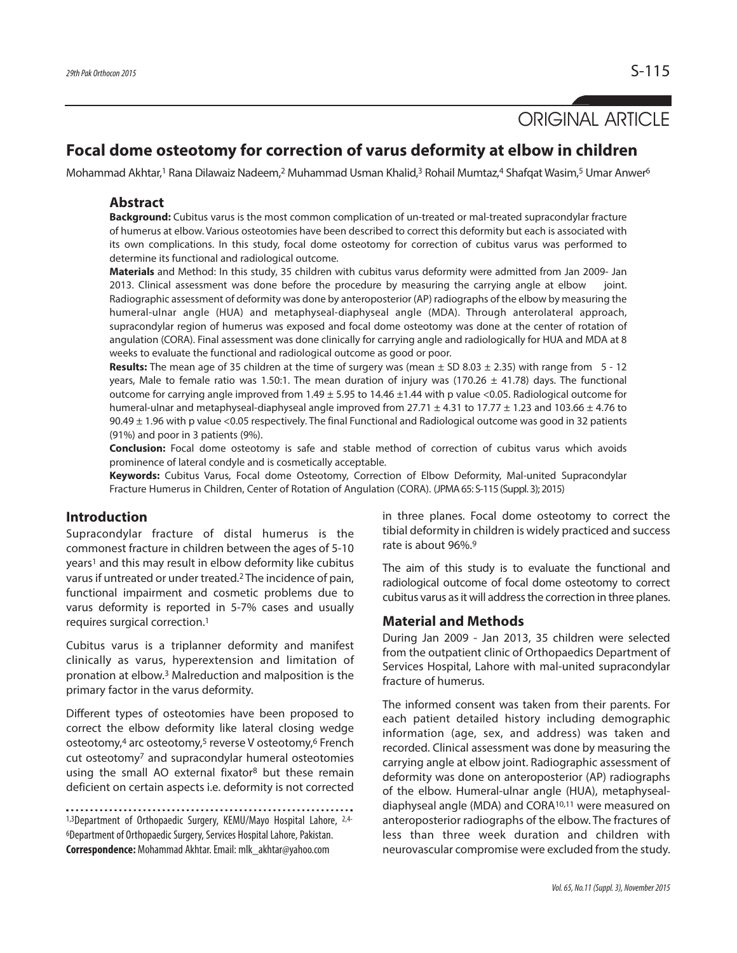# ORIGINAL ARTICLE

## **Focal dome osteotomy for correction of varus deformity at elbow in children**

Mohammad Akhtar,<sup>1</sup> Rana Dilawaiz Nadeem,<sup>2</sup> Muhammad Usman Khalid,<sup>3</sup> Rohail Mumtaz,4 Shafqat Wasim,<sup>5</sup> Umar Anwer<sup>6</sup>

#### **Abstract**

**Background:** Cubitus varus is the most common complication of un-treated or mal-treated supracondylar fracture of humerus at elbow. Various osteotomies have been described to correct this deformity but each is associated with its own complications. In this study, focal dome osteotomy for correction of cubitus varus was performed to determine its functional and radiological outcome.

**Materials** and Method: In this study, 35 children with cubitus varus deformity were admitted from Jan 2009- Jan 2013. Clinical assessment was done before the procedure by measuring the carrying angle at elbow joint. Radiographic assessment of deformity was done by anteroposterior (AP) radiographs of the elbow by measuring the humeral-ulnar angle (HUA) and metaphyseal-diaphyseal angle (MDA). Through anterolateral approach, supracondylar region of humerus was exposed and focal dome osteotomy was done at the center of rotation of angulation (CORA). Final assessment was done clinically for carrying angle and radiologically for HUA and MDA at 8 weeks to evaluate the functional and radiological outcome as good or poor.

**Results:** The mean age of 35 children at the time of surgery was (mean ± SD 8.03 ± 2.35) with range from 5 - 12 years, Male to female ratio was 1.50:1. The mean duration of injury was (170.26  $\pm$  41.78) days. The functional outcome for carrying angle improved from  $1.49 \pm 5.95$  to  $14.46 \pm 1.44$  with p value <0.05. Radiological outcome for humeral-ulnar and metaphyseal-diaphyseal angle improved from 27.71  $\pm$  4.31 to 17.77  $\pm$  1.23 and 103.66  $\pm$  4.76 to  $90.49 \pm 1.96$  with p value <0.05 respectively. The final Functional and Radiological outcome was good in 32 patients (91%) and poor in 3 patients (9%).

**Conclusion:** Focal dome osteotomy is safe and stable method of correction of cubitus varus which avoids prominence of lateral condyle and is cosmetically acceptable.

**Keywords:** Cubitus Varus, Focal dome Osteotomy, Correction of Elbow Deformity, Mal-united Supracondylar Fracture Humerus in Children, Center of Rotation of Angulation (CORA). (JPMA65: S-115 (Suppl. 3); 2015)

### **Introduction**

Supracondylar fracture of distal humerus is the commonest fracture in children between the ages of 5-10 years<sup>1</sup> and this may result in elbow deformity like cubitus varus if untreated or under treated.<sup>2</sup> The incidence of pain, functional impairment and cosmetic problems due to varus deformity is reported in 5-7% cases and usually requires surgical correction. 1

Cubitus varus is a triplanner deformity and manifest clinically as varus, hyperextension and limitation of pronation at elbow. <sup>3</sup> Malreduction and malposition is the primary factor in the varus deformity.

Different types of osteotomies have been proposed to correct the elbow deformity like lateral closing wedge osteotomy, <sup>4</sup> arc osteotomy, <sup>5</sup> reverse V osteotomy, <sup>6</sup> French cut osteotomy7 and supracondylar humeral osteotomies using the small AO external fixator<sup>8</sup> but these remain deficient on certain aspects i.e. deformity is not corrected

```
1,3Department of Orthopaedic Surgery, KEMU/Mayo Hospital Lahore, 2,4-
<sup>6</sup>Department of Orthopaedic Surgery, Services Hospital Lahore, Pakistan.
Correspondence: Mohammad Akhtar.Email: mlk_akhtar@yahoo.com
```
in three planes. Focal dome osteotomy to correct the tibial deformity in children is widely practiced and success rate is about 96%. 9

The aim of this study is to evaluate the functional and radiological outcome of focal dome osteotomy to correct cubitus varus as it will address the correction in three planes.

#### **Material and Methods**

During Jan 2009 - Jan 2013, 35 children were selected from the outpatient clinic of Orthopaedics Department of Services Hospital, Lahore with mal-united supracondylar fracture of humerus.

The informed consent was taken from their parents. For each patient detailed history including demographic information (age, sex, and address) was taken and recorded. Clinical assessment was done by measuring the carrying angle at elbow joint. Radiographic assessment of deformity was done on anteroposterior (AP) radiographs of the elbow. Humeral-ulnar angle (HUA), metaphysealdiaphyseal angle (MDA) and CORA10,11 were measured on anteroposterior radiographs of the elbow. The fractures of less than three week duration and children with neurovascular compromise were excluded from the study.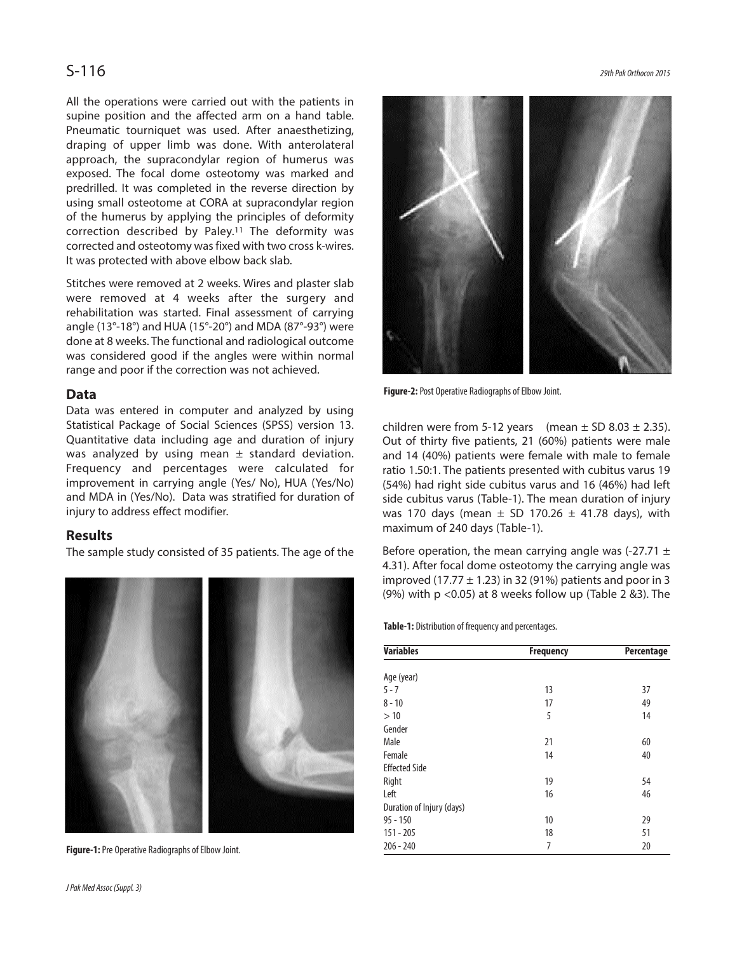All the operations were carried out with the patients in supine position and the affected arm on a hand table. Pneumatic tourniquet was used. After anaesthetizing, draping of upper limb was done. With anterolateral approach, the supracondylar region of humerus was exposed. The focal dome osteotomy was marked and predrilled. It was completed in the reverse direction by using small osteotome at CORA at supracondylar region of the humerus by applying the principles of deformity correction described by Paley. <sup>11</sup> The deformity was corrected and osteotomy was fixed with two cross k-wires. It was protected with above elbow back slab.

Stitches were removed at 2 weeks. Wires and plaster slab were removed at 4 weeks after the surgery and rehabilitation was started. Final assessment of carrying angle (13°-18°) and HUA (15°-20°) and MDA (87°-93°) were done at 8 weeks. The functional and radiological outcome was considered good if the angles were within normal range and poor if the correction was not achieved.

#### **Data**

Data was entered in computer and analyzed by using Statistical Package of Social Sciences (SPSS) version 13. Quantitative data including age and duration of injury was analyzed by using mean  $\pm$  standard deviation. Frequency and percentages were calculated for improvement in carrying angle (Yes/ No), HUA (Yes/No) and MDA in (Yes/No). Data was stratified for duration of injury to address effect modifier.

#### **Results**

The sample study consisted of 35 patients. The age of the



Figure-1: Pre Operative Radiographs of Elbow Joint.



Figure-2: Post Operative Radiographs of Elbow Joint.

children were from 5-12 years (mean  $\pm$  SD 8.03  $\pm$  2.35). Out of thirty five patients, 21 (60%) patients were male and 14 (40%) patients were female with male to female ratio 1.50:1. The patients presented with cubitus varus 19 (54%) had right side cubitus varus and 16 (46%) had left side cubitus varus (Table-1). The mean duration of injury was 170 days (mean  $\pm$  SD 170.26  $\pm$  41.78 days), with maximum of 240 days (Table-1).

Before operation, the mean carrying angle was  $(-27.71 \pm 1)$ 4.31). After focal dome osteotomy the carrying angle was improved (17.77  $\pm$  1.23) in 32 (91%) patients and poor in 3 (9%) with p <0.05) at 8 weeks follow up (Table 2 &3). The

**Table-1:** Distribution of frequency and percentages.

| <b>Variables</b>          | <b>Frequency</b> | Percentage |  |
|---------------------------|------------------|------------|--|
|                           |                  |            |  |
| Age (year)                |                  |            |  |
| $5 - 7$                   | 13               | 37         |  |
| $8 - 10$                  | 17               | 49         |  |
| >10                       | 5                | 14         |  |
| Gender                    |                  |            |  |
| Male                      | 21               | 60         |  |
| Female                    | 14               | 40         |  |
| <b>Effected Side</b>      |                  |            |  |
| Right                     | 19               | 54         |  |
| Left                      | 16               | 46         |  |
| Duration of Injury (days) |                  |            |  |
| $95 - 150$                | 10               | 29         |  |
| $151 - 205$               | 18               | 51         |  |
| $206 - 240$               | 7                | 20         |  |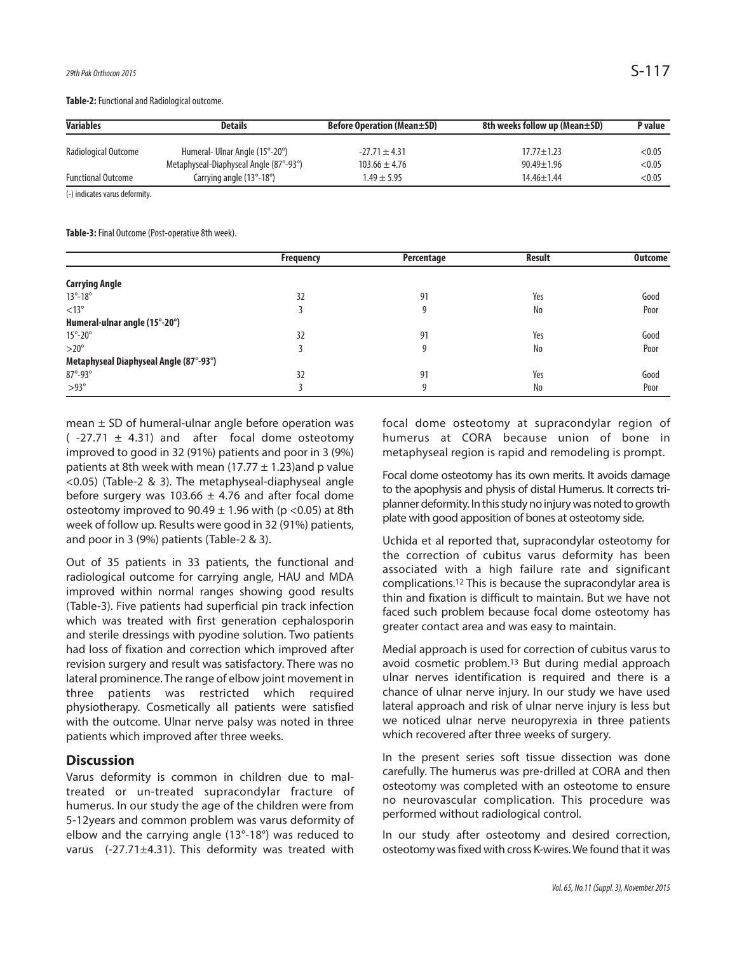Table-2: Functional and Radiological outcome.

| <b>Variables</b>          | Details                                    | <b>Before Operation (Mean±SD)</b> | 8th weeks follow up (Mean±SD) | P value |
|---------------------------|--------------------------------------------|-----------------------------------|-------------------------------|---------|
| Radiological Outcome      | Humeral- Ulnar Angle (15°-20°)             | $-27.71 \pm 4.31$                 | $17.77 \pm 1.23$              | < 0.05  |
|                           | Metaphyseal-Diaphyseal Angle (87°-93°)     | $103.66 \pm 4.76$                 | $90.49 \pm 1.96$              | < 0.05  |
| <b>Functional Outcome</b> | Carrying angle $(13^{\circ} - 18^{\circ})$ | $1.49 \pm 5.95$                   | $14.46 \pm 1.44$              | < 0.05  |

(-) indicates varus deformity.

Table-3: Final Outcome (Post-operative 8th week).

|                                        | <b>Frequency</b> | Percentage | <b>Result</b> | <b>Outcome</b> |
|----------------------------------------|------------------|------------|---------------|----------------|
|                                        |                  |            |               |                |
| <b>Carrying Angle</b>                  |                  |            |               |                |
| $13^\circ - 18^\circ$                  | 32               | 91         | Yes           | Good           |
| $<13^{\circ}$                          |                  | 9          | No            | Poor           |
| Humeral-ulnar angle (15°-20°)          |                  |            |               |                |
| $15^{\circ}$ -20 $^{\circ}$            | 32               | 91         | Yes           | Good           |
| $>20^\circ$                            |                  | 9          | No            | Poor           |
| Metaphyseal Diaphyseal Angle (87°-93°) |                  |            |               |                |
| $87^\circ - 93^\circ$                  | 32               | 91         | Yes           | Good           |
| $>93^\circ$                            |                  | 9          | No            | Poor           |

mean  $\pm$  SD of humeral-ulnar angle before operation was  $(-27.71 \pm 4.31)$  and after focal dome osteotomy improved to good in 32 (91%) patients and poor in 3 (9%) patients at 8th week with mean (17.77  $\pm$  1.23)and p value <0.05) (Table-2 & 3). The metaphyseal-diaphyseal angle before surgery was 103.66  $\pm$  4.76 and after focal dome osteotomy improved to  $90.49 \pm 1.96$  with (p <0.05) at 8th week of follow up. Results were good in 32 (91%) patients, and poor in 3 (9%) patients (Table-2 & 3).

Out of 35 patients in 33 patients, the functional and radiological outcome for carrying angle, HAU and MDA improved within normal ranges showing good results (Table-3). Five patients had superficial pin track infection which was treated with first generation cephalosporin and sterile dressings with pyodine solution. Two patients had loss of fixation and correction which improved after revision surgery and result was satisfactory. There was no lateral prominence. The range of elbow joint movement in three patients was restricted which required physiotherapy. Cosmetically all patients were satisfied with the outcome. Ulnar nerve palsy was noted in three patients which improved after three weeks.

#### **Discussion**

Varus deformity is common in children due to maltreated or un-treated supracondylar fracture of humerus. In our study the age of the children were from 5-12years and common problem was varus deformity of elbow and the carrying angle (13°-18°) was reduced to varus (-27.71±4.31). This deformity was treated with focal dome osteotomy at supracondylar region of humerus at CORA because union of bone in metaphyseal region is rapid and remodeling is prompt.

Focal dome osteotomy has its own merits. It avoids damage to the apophysis and physis of distal Humerus. It corrects triplanner deformity. In this study no injury was noted to growth plate with good apposition of bones at osteotomy side.

Uchida et al reported that, supracondylar osteotomy for the correction of cubitus varus deformity has been associated with a high failure rate and significant complications. <sup>12</sup> This is because the supracondylar area is thin and fixation is difficult to maintain. But we have not faced such problem because focal dome osteotomy has greater contact area and was easy to maintain.

Medial approach is used for correction of cubitus varus to avoid cosmetic problem. <sup>13</sup> But during medial approach ulnar nerves identification is required and there is a chance of ulnar nerve injury. In our study we have used lateral approach and risk of ulnar nerve injury is less but we noticed ulnar nerve neuropyrexia in three patients which recovered after three weeks of surgery.

In the present series soft tissue dissection was done carefully. The humerus was pre-drilled at CORA and then osteotomy was completed with an osteotome to ensure no neurovascular complication. This procedure was performed without radiological control.

In our study after osteotomy and desired correction, osteotomy was fixed with cross K-wires. We found that it was